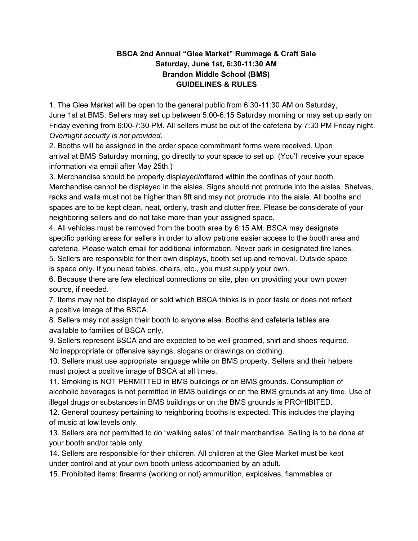## **BSCA 2nd Annual "Glee Market" Rummage & Craft Sale Saturday, June 1st, 6:30-11:30 AM Brandon Middle School (BMS) GUIDELINES & RULES**

1. The Glee Market will be open to the general public from 6:30-11:30 AM on Saturday, June 1st at BMS. Sellers may set up between 5:00-6:15 Saturday morning or may set up early on Friday evening from 6:00-7:30 PM. All sellers must be out of the cafeteria by 7:30 PM Friday night. *Overnight security is not provided.*

2. Booths will be assigned in the order space commitment forms were received. Upon arrival at BMS Saturday morning, go directly to your space to set up. (You'll receive your space information via email after May 25th.)

3. Merchandise should be properly displayed/offered within the confines of your booth. Merchandise cannot be displayed in the aisles. Signs should not protrude into the aisles. Shelves, racks and walls must not be higher than 8ft and may not protrude into the aisle. All booths and spaces are to be kept clean, neat, orderly, trash and clutter free. Please be considerate of your neighboring sellers and do not take more than your assigned space.

4. All vehicles must be removed from the booth area by 6:15 AM. BSCA may designate specific parking areas for sellers in order to allow patrons easier access to the booth area and cafeteria. Please watch email for additional information. Never park in designated fire lanes.

5. Sellers are responsible for their own displays, booth set up and removal. Outside space

is space only. If you need tables, chairs, etc., you must supply your own.

6. Because there are few electrical connections on site, plan on providing your own power source, if needed.

7. Items may not be displayed or sold which BSCA thinks is in poor taste or does not reflect a positive image of the BSCA.

8. Sellers may not assign their booth to anyone else. Booths and cafeteria tables are available to families of BSCA only.

9. Sellers represent BSCA and are expected to be well groomed, shirt and shoes required. No inappropriate or offensive sayings, slogans or drawings on clothing.

10. Sellers must use appropriate language while on BMS property. Sellers and their helpers must project a positive image of BSCA at all times.

11. Smoking is NOT PERMITTED in BMS buildings or on BMS grounds. Consumption of alcoholic beverages is not permitted in BMS buildings or on the BMS grounds at any time. Use of illegal drugs or substances in BMS buildings or on the BMS grounds is PROHIBITED.

12. General courtesy pertaining to neighboring booths is expected. This includes the playing of music at low levels only.

13. Sellers are not permitted to do "walking sales" of their merchandise. Selling is to be done at your booth and/or table only.

14. Sellers are responsible for their children. All children at the Glee Market must be kept under control and at your own booth unless accompanied by an adult.

15. Prohibited items: firearms (working or not) ammunition, explosives, flammables or